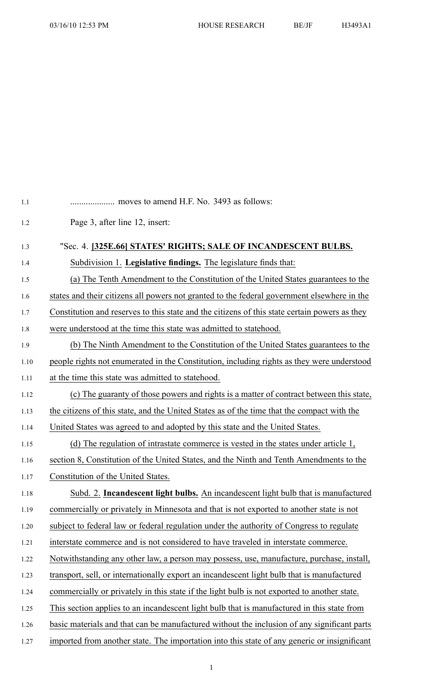| 1.1  | moves to amend H.F. No. 3493 as follows:                                                      |
|------|-----------------------------------------------------------------------------------------------|
| 1.2  | Page 3, after line 12, insert:                                                                |
| 1.3  | "Sec. 4. [325E.66] STATES' RIGHTS; SALE OF INCANDESCENT BULBS.                                |
| 1.4  | Subdivision 1. Legislative findings. The legislature finds that:                              |
| 1.5  | (a) The Tenth Amendment to the Constitution of the United States guarantees to the            |
| 1.6  | states and their citizens all powers not granted to the federal government elsewhere in the   |
| 1.7  | Constitution and reserves to this state and the citizens of this state certain powers as they |
| 1.8  | were understood at the time this state was admitted to state hood.                            |
| 1.9  | (b) The Ninth Amendment to the Constitution of the United States guarantees to the            |
| 1.10 | people rights not enumerated in the Constitution, including rights as they were understood    |
| 1.11 | at the time this state was admitted to statehood.                                             |
| 1.12 | (c) The guaranty of those powers and rights is a matter of contract between this state,       |
| 1.13 | the citizens of this state, and the United States as of the time that the compact with the    |
| 1.14 | United States was agreed to and adopted by this state and the United States.                  |
| 1.15 | (d) The regulation of intrastate commerce is vested in the states under article $1$ ,         |
| 1.16 | section 8, Constitution of the United States, and the Ninth and Tenth Amendments to the       |
| 1.17 | Constitution of the United States.                                                            |
| 1.18 | Subd. 2. Incandescent light bulbs. An incandescent light bulb that is manufactured            |
| 1.19 | commercially or privately in Minnesota and that is not exported to another state is not       |
| 1.20 | subject to federal law or federal regulation under the authority of Congress to regulate      |
| 1.21 | interstate commerce and is not considered to have traveled in interstate commerce.            |
| 1.22 | Notwithstanding any other law, a person may possess, use, manufacture, purchase, install,     |
| 1.23 | transport, sell, or internationally export an incandescent light bulb that is manufactured    |
| 1.24 | commercially or privately in this state if the light bulb is not exported to another state.   |
| 1.25 | This section applies to an incandescent light bulb that is manufactured in this state from    |
| 1.26 | basic materials and that can be manufactured without the inclusion of any significant parts   |
| 1.27 | imported from another state. The importation into this state of any generic or insignificant  |
|      |                                                                                               |

1